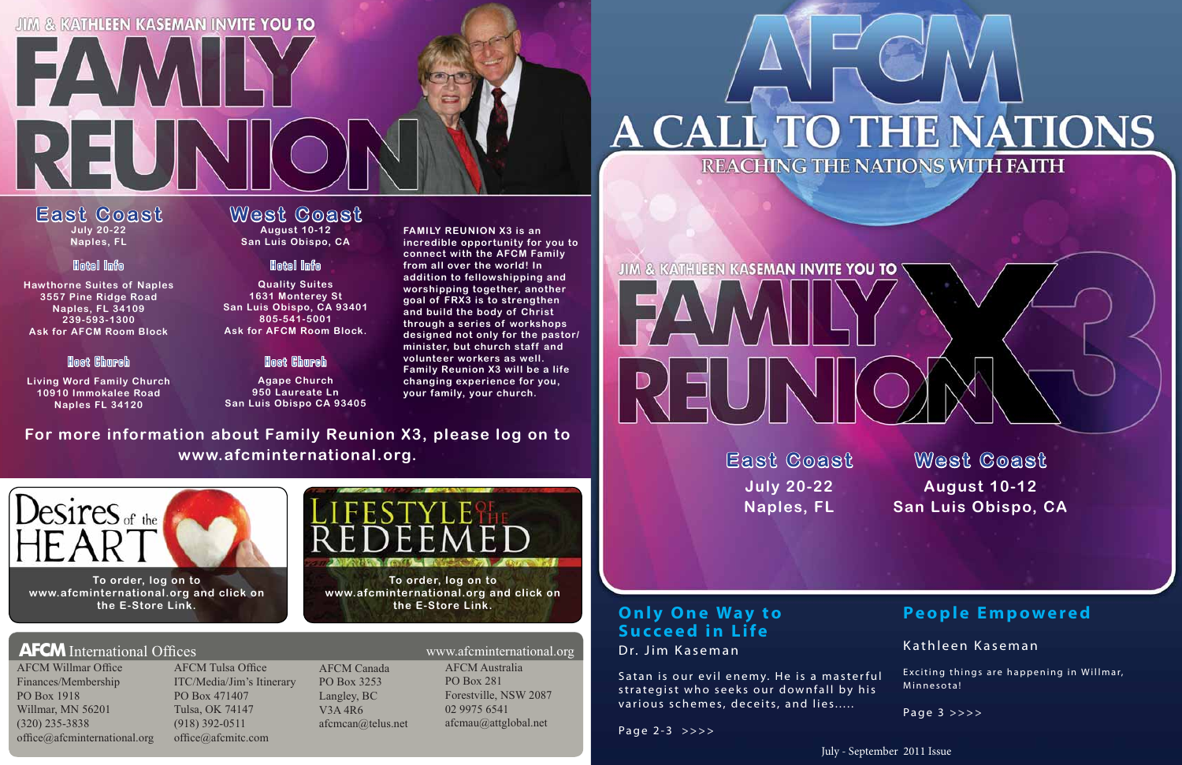### **JIM & KATHLEEN KASEMAN INVITE YOU TO**

**EXAMIL** 

July - September 2011 Issue

**East Coast July 20-22 Naples, FL**

REUN

**Hawthorne Suites of Naples 3557 Pine Ridge Road Naples, FL 34109 239-593-1300Ask for AFCM Room Block**

**Living Word Family Church 10910 Immokalee Road Naples FL 34120**

**Quality Suites 1631 Monterey St San Luis Obispo, CA 93401 805-541-5001Ask for AFCM Room Block.**

**Agape Church 950 Laureate LnSan Luis Obispo CA 93405**

#### **West Coast August 10-12 San Luis Obispo, CA**

#### Hotel Info

#### Host Church

#### Hotel Info

#### Host Church

Satan is our evil enemy. He is a masterful strategist who seeks our downfall by his various schemes, deceits, and lies.....

**FAMILY REUNION X3 is an incredible opportunity for you to connect with the AFCM Family from all over the world! In addition to fellowshipping and worshipping together, another goal of FRX3 is to strengthen and build the body of Christ through a series of workshops designed not only for the pastor/ minister, but church staff and volunteer workers as well. Family Reunion X3 will be a life changing experience for you, your family, your church.**

> **East Coast July 20-22 Naples, FL**

# **West Coast August 10-12 San Luis Obispo, CA**

#### **O <sup>n</sup> l y O <sup>n</sup> <sup>e</sup> Wa y <sup>t</sup> <sup>o</sup> Succeed in Life** Dr. Jim Kaseman

Page 2-3 >>>>

#### **AFCM** International Offices

AFCM Willmar Office Finances/Membership PO Box 1918Willmar, MN 56201 (320) 235-3838 office@afcminternational.org

AFCM Tulsa Office ITC/Media/Jim's Itinerary PO Box 471407Tulsa, OK 74147 (918) 392-0511 office@afcmitc.com

AFCM Canada PO Box 3253Langley, BC V3A 4R6afcmcan@telus.net

#### **People Empowered**

Kathleen Kaseman

Exciting things are happening in Willmar, Minnesota!

Page 3 >>>>

**For more information about Family Reunion X3, please log on to www.afcminternational.org.**



**To order, log on to www.afcminternational.org and click on the E-Store Link.**



**To order, log on to www.afcminternational.org and click on the E-Store Link.**

**AFCM** Australia PO Box 281Forestville, NSW 2087 02 9975 6541afcmau@attglobal.net s and the contract of the contract of the contract www.afcminternational.org

# A CALL TO THE NATIONS

# **JIM & KATHLEEN KASEMAN INVITE YOU TO NEV**